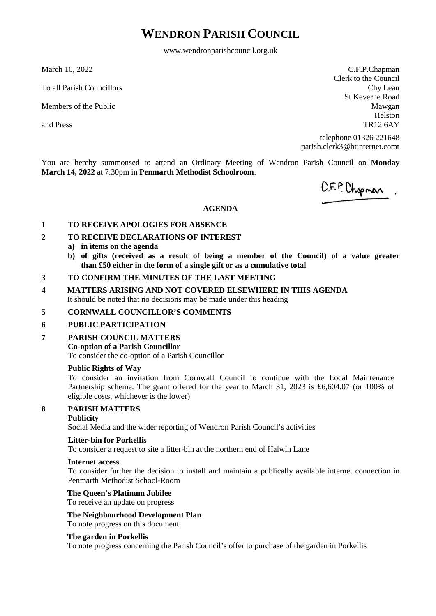## **WENDRON PARISH COUNCIL**

www.wendronparishcouncil.org.uk

March 16, 2022

To all Parish Councillors

Members of the Public

and Press

C.F.P.Chapman Clerk to the Council Chy Lean St Keverne Road Mawgan Helston TR12 6AY

telephone 01326 221648 parish.clerk3@btinternet.comt

You are hereby summonsed to attend an Ordinary Meeting of Wendron Parish Council on **Monday March 14, 2022** at 7.30pm in **Penmarth Methodist Schoolroom**.

C.F.P. Chopman.

## **AGENDA**

## **1 TO RECEIVE APOLOGIES FOR ABSENCE**

## **2 TO RECEIVE DECLARATIONS OF INTEREST**

- **a) in items on the agenda**
- **b) of gifts (received as a result of being a member of the Council) of a value greater than £50 either in the form of a single gift or as a cumulative total**

#### **3 TO CONFIRM THE MINUTES OF THE LAST MEETING**

## **4 MATTERS ARISING AND NOT COVERED ELSEWHERE IN THIS AGENDA** It should be noted that no decisions may be made under this heading

## **5 CORNWALL COUNCILLOR'S COMMENTS**

## **6 PUBLIC PARTICIPATION**

## **7 PARISH COUNCIL MATTERS**

## **Co-option of a Parish Councillor**

To consider the co-option of a Parish Councillor

## **Public Rights of Way**

To consider an invitation from Cornwall Council to continue with the Local Maintenance Partnership scheme. The grant offered for the year to March 31, 2023 is £6,604.07 (or 100% of eligible costs, whichever is the lower)

## **8 PARISH MATTERS**

## **Publicity**

Social Media and the wider reporting of Wendron Parish Council's activities

## **Litter-bin for Porkellis**

To consider a request to site a litter-bin at the northern end of Halwin Lane

## **Internet access**

To consider further the decision to install and maintain a publically available internet connection in Penmarth Methodist School-Room

## **The Queen's Platinum Jubilee**

To receive an update on progress

## **The Neighbourhood Development Plan**

To note progress on this document

## **The garden in Porkellis**

To note progress concerning the Parish Council's offer to purchase of the garden in Porkellis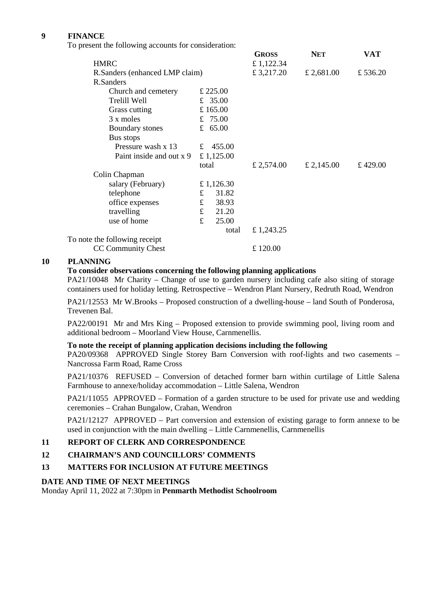## **9 FINANCE**

To present the following accounts for consideration:

|                                |       | <b>GROSS</b>                                                                       | <b>NET</b> | VAT      |
|--------------------------------|-------|------------------------------------------------------------------------------------|------------|----------|
|                                |       | £1,122.34                                                                          |            |          |
| R.Sanders (enhanced LMP claim) |       |                                                                                    | £ 2,681.00 | £ 536.20 |
|                                |       |                                                                                    |            |          |
|                                |       |                                                                                    |            |          |
|                                |       |                                                                                    |            |          |
|                                |       |                                                                                    |            |          |
|                                |       |                                                                                    |            |          |
|                                |       |                                                                                    |            |          |
|                                |       |                                                                                    |            |          |
|                                |       |                                                                                    |            |          |
|                                |       |                                                                                    |            |          |
| total                          |       | £ 2,574.00                                                                         | £ 2,145.00 | £ 429.00 |
|                                |       |                                                                                    |            |          |
| £ 1,126.30                     |       |                                                                                    |            |          |
| £                              | 31.82 |                                                                                    |            |          |
| $\mathbf f$                    | 38.93 |                                                                                    |            |          |
| $\mathbf f$                    | 21.20 |                                                                                    |            |          |
| £                              | 25.00 |                                                                                    |            |          |
|                                | total | £ 1,243.25                                                                         |            |          |
|                                |       |                                                                                    |            |          |
|                                |       | £ 120.00                                                                           |            |          |
|                                |       | £ 225.00<br>£ 35.00<br>£165.00<br>£ $75.00$<br>£ $65.00$<br>£ 455.00<br>£ 1,125.00 | £ 3,217.20 |          |

## **10 PLANNING**

## **To consider observations concerning the following planning applications**

PA21/10048 Mr Charity – Change of use to garden nursery including cafe also siting of storage containers used for holiday letting. Retrospective – Wendron Plant Nursery, Redruth Road, Wendron

PA21/12553 Mr W.Brooks – Proposed construction of a dwelling-house – land South of Ponderosa, Trevenen Bal.

PA22/00191 Mr and Mrs King – Proposed extension to provide swimming pool, living room and additional bedroom – Moorland View House, Carnmenellis.

## **To note the receipt of planning application decisions including the following**

PA20/09368 APPROVED Single Storey Barn Conversion with roof-lights and two casements – Nancrossa Farm Road, Rame Cross

PA21/10376 REFUSED – Conversion of detached former barn within curtilage of Little Salena Farmhouse to annexe/holiday accommodation – Little Salena, Wendron

PA21/11055 APPROVED – Formation of a garden structure to be used for private use and wedding ceremonies – Crahan Bungalow, Crahan, Wendron

PA21/12127 APPROVED – Part conversion and extension of existing garage to form annexe to be used in conjunction with the main dwelling – Little Carnmenellis, Carnmenellis

## **11 REPORT OF CLERK AND CORRESPONDENCE**

## **12 CHAIRMAN'S AND COUNCILLORS' COMMENTS**

## **13 MATTERS FOR INCLUSION AT FUTURE MEETINGS**

## **DATE AND TIME OF NEXT MEETINGS**

Monday April 11, 2022 at 7:30pm in **Penmarth Methodist Schoolroom**